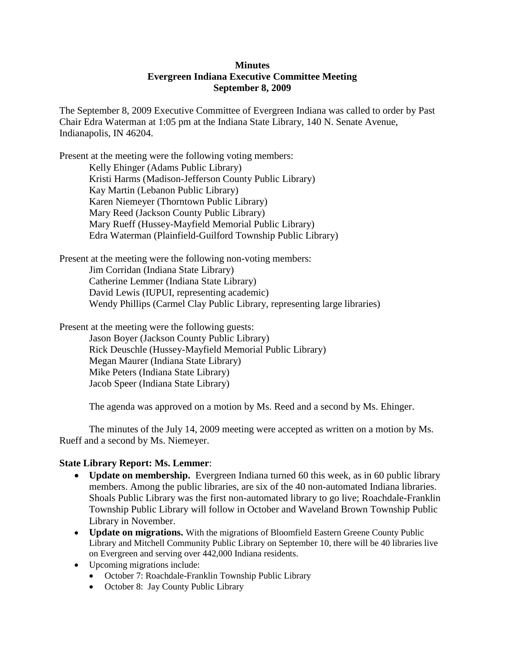## **Minutes Evergreen Indiana Executive Committee Meeting September 8, 2009**

The September 8, 2009 Executive Committee of Evergreen Indiana was called to order by Past Chair Edra Waterman at 1:05 pm at the Indiana State Library, 140 N. Senate Avenue, Indianapolis, IN 46204.

Present at the meeting were the following voting members: Kelly Ehinger (Adams Public Library) Kristi Harms (Madison-Jefferson County Public Library) Kay Martin (Lebanon Public Library) Karen Niemeyer (Thorntown Public Library) Mary Reed (Jackson County Public Library) Mary Rueff (Hussey-Mayfield Memorial Public Library) Edra Waterman (Plainfield-Guilford Township Public Library)

Present at the meeting were the following non-voting members: Jim Corridan (Indiana State Library) Catherine Lemmer (Indiana State Library) David Lewis (IUPUI, representing academic) Wendy Phillips (Carmel Clay Public Library, representing large libraries)

Present at the meeting were the following guests: Jason Boyer (Jackson County Public Library) Rick Deuschle (Hussey-Mayfield Memorial Public Library) Megan Maurer (Indiana State Library) Mike Peters (Indiana State Library) Jacob Speer (Indiana State Library)

The agenda was approved on a motion by Ms. Reed and a second by Ms. Ehinger.

The minutes of the July 14, 2009 meeting were accepted as written on a motion by Ms. Rueff and a second by Ms. Niemeyer.

## **State Library Report: Ms. Lemmer**:

- **Update on membership.** Evergreen Indiana turned 60 this week, as in 60 public library members. Among the public libraries, are six of the 40 non-automated Indiana libraries. Shoals Public Library was the first non-automated library to go live; Roachdale-Franklin Township Public Library will follow in October and Waveland Brown Township Public Library in November.
- **Update on migrations.** With the migrations of Bloomfield Eastern Greene County Public Library and Mitchell Community Public Library on September 10, there will be 40 libraries live on Evergreen and serving over 442,000 Indiana residents.
- Upcoming migrations include:
	- October 7: Roachdale-Franklin Township Public Library
	- October 8: Jay County Public Library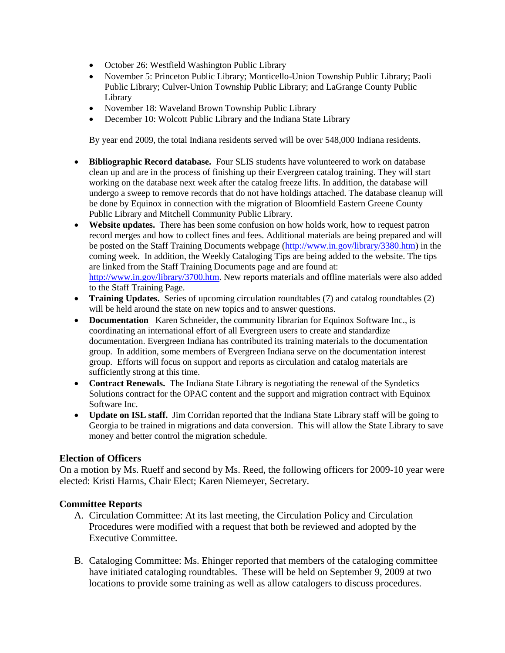- October 26: Westfield Washington Public Library
- November 5: Princeton Public Library; Monticello-Union Township Public Library; Paoli Public Library; Culver-Union Township Public Library; and LaGrange County Public Library
- November 18: Waveland Brown Township Public Library
- December 10: Wolcott Public Library and the Indiana State Library

By year end 2009, the total Indiana residents served will be over 548,000 Indiana residents.

- **Bibliographic Record database.** Four SLIS students have volunteered to work on database clean up and are in the process of finishing up their Evergreen catalog training. They will start working on the database next week after the catalog freeze lifts. In addition, the database will undergo a sweep to remove records that do not have holdings attached. The database cleanup will be done by Equinox in connection with the migration of Bloomfield Eastern Greene County Public Library and Mitchell Community Public Library.
- **Website updates.** There has been some confusion on how holds work, how to request patron record merges and how to collect fines and fees. Additional materials are being prepared and will be posted on the Staff Training Documents webpage [\(http://www.in.gov/library/3380.htm\)](http://www.in.gov/library/3380.htm) in the coming week. In addition, the Weekly Cataloging Tips are being added to the website. The tips are linked from the Staff Training Documents page and are found at: [http://www.in.gov/library/3700.htm.](http://www.in.gov/library/3700.htm) New reports materials and offline materials were also added to the Staff Training Page.
- **Training Updates.** Series of upcoming circulation roundtables (7) and catalog roundtables (2) will be held around the state on new topics and to answer questions.
- **Documentation** Karen Schneider, the community librarian for Equinox Software Inc., is coordinating an international effort of all Evergreen users to create and standardize documentation. Evergreen Indiana has contributed its training materials to the documentation group. In addition, some members of Evergreen Indiana serve on the documentation interest group. Efforts will focus on support and reports as circulation and catalog materials are sufficiently strong at this time.
- **Contract Renewals.** The Indiana State Library is negotiating the renewal of the Syndetics Solutions contract for the OPAC content and the support and migration contract with Equinox Software Inc.
- **Update on ISL staff.** Jim Corridan reported that the Indiana State Library staff will be going to Georgia to be trained in migrations and data conversion. This will allow the State Library to save money and better control the migration schedule.

## **Election of Officers**

On a motion by Ms. Rueff and second by Ms. Reed, the following officers for 2009-10 year were elected: Kristi Harms, Chair Elect; Karen Niemeyer, Secretary.

## **Committee Reports**

- A. Circulation Committee: At its last meeting, the Circulation Policy and Circulation Procedures were modified with a request that both be reviewed and adopted by the Executive Committee.
- B. Cataloging Committee: Ms. Ehinger reported that members of the cataloging committee have initiated cataloging roundtables. These will be held on September 9, 2009 at two locations to provide some training as well as allow catalogers to discuss procedures.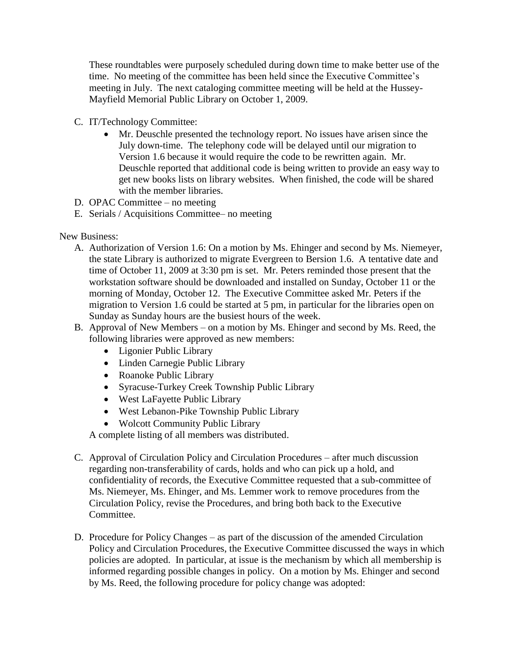These roundtables were purposely scheduled during down time to make better use of the time. No meeting of the committee has been held since the Executive Committee's meeting in July. The next cataloging committee meeting will be held at the Hussey-Mayfield Memorial Public Library on October 1, 2009.

- C. IT/Technology Committee:
	- Mr. Deuschle presented the technology report. No issues have arisen since the July down-time. The telephony code will be delayed until our migration to Version 1.6 because it would require the code to be rewritten again. Mr. Deuschle reported that additional code is being written to provide an easy way to get new books lists on library websites. When finished, the code will be shared with the member libraries.
- D. OPAC Committee no meeting
- E. Serials / Acquisitions Committee– no meeting

New Business:

- A. Authorization of Version 1.6: On a motion by Ms. Ehinger and second by Ms. Niemeyer, the state Library is authorized to migrate Evergreen to Bersion 1.6. A tentative date and time of October 11, 2009 at 3:30 pm is set. Mr. Peters reminded those present that the workstation software should be downloaded and installed on Sunday, October 11 or the morning of Monday, October 12. The Executive Committee asked Mr. Peters if the migration to Version 1.6 could be started at 5 pm, in particular for the libraries open on Sunday as Sunday hours are the busiest hours of the week.
- B. Approval of New Members on a motion by Ms. Ehinger and second by Ms. Reed, the following libraries were approved as new members:
	- Ligonier Public Library
	- Linden Carnegie Public Library
	- Roanoke Public Library
	- Syracuse-Turkey Creek Township Public Library
	- West LaFayette Public Library
	- West Lebanon-Pike Township Public Library
	- Wolcott Community Public Library

A complete listing of all members was distributed.

- C. Approval of Circulation Policy and Circulation Procedures after much discussion regarding non-transferability of cards, holds and who can pick up a hold, and confidentiality of records, the Executive Committee requested that a sub-committee of Ms. Niemeyer, Ms. Ehinger, and Ms. Lemmer work to remove procedures from the Circulation Policy, revise the Procedures, and bring both back to the Executive Committee.
- D. Procedure for Policy Changes as part of the discussion of the amended Circulation Policy and Circulation Procedures, the Executive Committee discussed the ways in which policies are adopted. In particular, at issue is the mechanism by which all membership is informed regarding possible changes in policy. On a motion by Ms. Ehinger and second by Ms. Reed, the following procedure for policy change was adopted: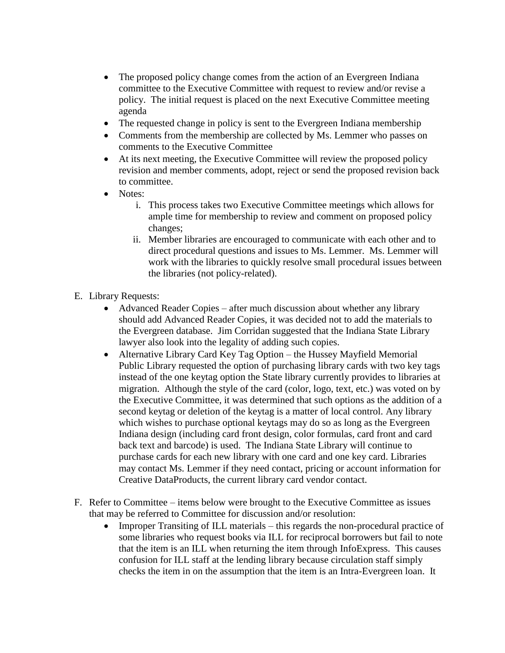- The proposed policy change comes from the action of an Evergreen Indiana committee to the Executive Committee with request to review and/or revise a policy. The initial request is placed on the next Executive Committee meeting agenda
- The requested change in policy is sent to the Evergreen Indiana membership
- Comments from the membership are collected by Ms. Lemmer who passes on comments to the Executive Committee
- At its next meeting, the Executive Committee will review the proposed policy revision and member comments, adopt, reject or send the proposed revision back to committee.
- Notes:
	- i. This process takes two Executive Committee meetings which allows for ample time for membership to review and comment on proposed policy changes;
	- ii. Member libraries are encouraged to communicate with each other and to direct procedural questions and issues to Ms. Lemmer. Ms. Lemmer will work with the libraries to quickly resolve small procedural issues between the libraries (not policy-related).
- E. Library Requests:
	- Advanced Reader Copies after much discussion about whether any library should add Advanced Reader Copies, it was decided not to add the materials to the Evergreen database. Jim Corridan suggested that the Indiana State Library lawyer also look into the legality of adding such copies.
	- Alternative Library Card Key Tag Option the Hussey Mayfield Memorial Public Library requested the option of purchasing library cards with two key tags instead of the one keytag option the State library currently provides to libraries at migration. Although the style of the card (color, logo, text, etc.) was voted on by the Executive Committee, it was determined that such options as the addition of a second keytag or deletion of the keytag is a matter of local control. Any library which wishes to purchase optional keytags may do so as long as the Evergreen Indiana design (including card front design, color formulas, card front and card back text and barcode) is used. The Indiana State Library will continue to purchase cards for each new library with one card and one key card. Libraries may contact Ms. Lemmer if they need contact, pricing or account information for Creative DataProducts, the current library card vendor contact.
- F. Refer to Committee items below were brought to the Executive Committee as issues that may be referred to Committee for discussion and/or resolution:
	- Improper Transiting of ILL materials this regards the non-procedural practice of some libraries who request books via ILL for reciprocal borrowers but fail to note that the item is an ILL when returning the item through InfoExpress. This causes confusion for ILL staff at the lending library because circulation staff simply checks the item in on the assumption that the item is an Intra-Evergreen loan. It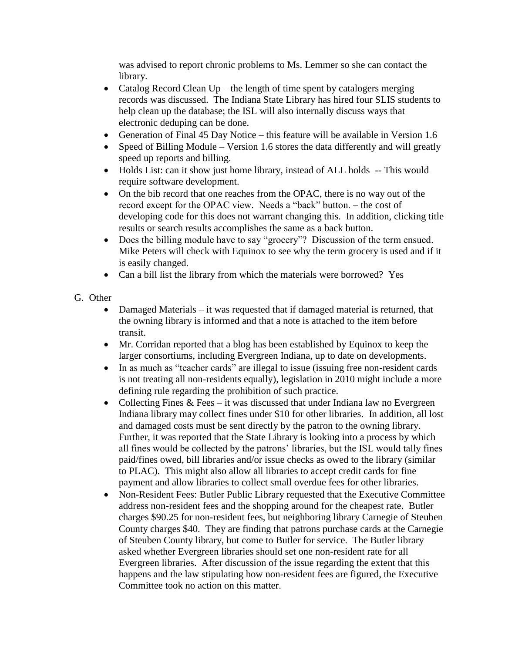was advised to report chronic problems to Ms. Lemmer so she can contact the library.

- Catalog Record Clean  $Up$  the length of time spent by catalogers merging records was discussed. The Indiana State Library has hired four SLIS students to help clean up the database; the ISL will also internally discuss ways that electronic deduping can be done.
- Generation of Final 45 Day Notice this feature will be available in Version 1.6
- Speed of Billing Module Version 1.6 stores the data differently and will greatly speed up reports and billing.
- Holds List: can it show just home library, instead of ALL holds -- This would require software development.
- On the bib record that one reaches from the OPAC, there is no way out of the record except for the OPAC view. Needs a "back" button. – the cost of developing code for this does not warrant changing this. In addition, clicking title results or search results accomplishes the same as a back button.
- Does the billing module have to say "grocery"? Discussion of the term ensued. Mike Peters will check with Equinox to see why the term grocery is used and if it is easily changed.
- Can a bill list the library from which the materials were borrowed? Yes
- G. Other
	- Damaged Materials it was requested that if damaged material is returned, that the owning library is informed and that a note is attached to the item before transit.
	- Mr. Corridan reported that a blog has been established by Equinox to keep the larger consortiums, including Evergreen Indiana, up to date on developments.
	- In as much as "teacher cards" are illegal to issue (issuing free non-resident cards is not treating all non-residents equally), legislation in 2010 might include a more defining rule regarding the prohibition of such practice.
	- Collecting Fines  $& \text{Fees} \text{it}$  was discussed that under Indiana law no Evergreen Indiana library may collect fines under \$10 for other libraries. In addition, all lost and damaged costs must be sent directly by the patron to the owning library. Further, it was reported that the State Library is looking into a process by which all fines would be collected by the patrons' libraries, but the ISL would tally fines paid/fines owed, bill libraries and/or issue checks as owed to the library (similar to PLAC). This might also allow all libraries to accept credit cards for fine payment and allow libraries to collect small overdue fees for other libraries.
	- Non-Resident Fees: Butler Public Library requested that the Executive Committee address non-resident fees and the shopping around for the cheapest rate. Butler charges \$90.25 for non-resident fees, but neighboring library Carnegie of Steuben County charges \$40. They are finding that patrons purchase cards at the Carnegie of Steuben County library, but come to Butler for service. The Butler library asked whether Evergreen libraries should set one non-resident rate for all Evergreen libraries. After discussion of the issue regarding the extent that this happens and the law stipulating how non-resident fees are figured, the Executive Committee took no action on this matter.